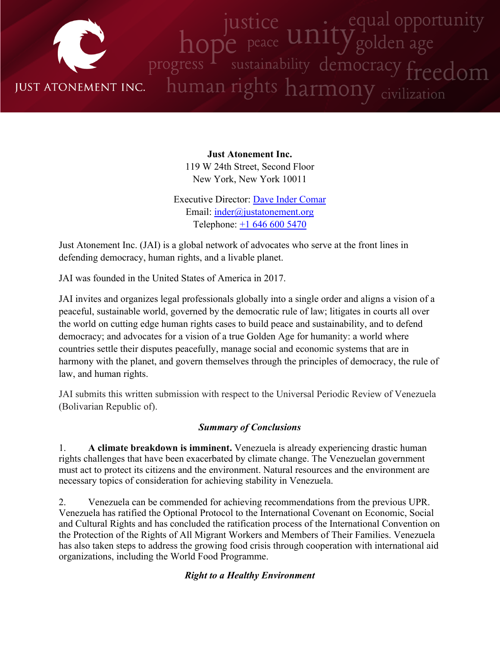

**Just Atonement Inc.** 119 W 24th Street, Second Floor New York, New York 10011

Executive Director: Dave Inder [Comar](http://www.justatonement.org/dave-inder-comar) Email: [inder@justatonement.org](mailto:inder@justatonement.org) Telephone: +1 646 600 [5470](tel:+16466005470)

Just Atonement Inc. (JAI) is <sup>a</sup> global network of advocates who serve at the front lines in defending democracy, human rights, and <sup>a</sup> livable planet.

JAI was founded in the United States of America in 2017.

JAI invites and organizes legal professionals globally into <sup>a</sup> single order and aligns <sup>a</sup> vision of <sup>a</sup> peaceful, sustainable world, governed by the democratic rule of law; litigates in courts all over the world on cutting edge human rights cases to build peace and sustainability, and to defend democracy; and advocates for <sup>a</sup> vision of <sup>a</sup> true Golden Age for humanity: <sup>a</sup> world where countries settle their disputes peacefully, manage social and economic systems that are in harmony with the planet, and govern themselves through the principles of democracy, the rule of law, and human rights.

JAI submits this written submission with respec<sup>t</sup> to the Universal Periodic Review of Venezuela (Bolivarian Republic of).

# *Summary of Conclusions*

1. **A climate breakdown is imminent.** Venezuela is already experiencing drastic human rights challenges that have been exacerbated by climate change. The Venezuelan governmen<sup>t</sup> must act to protect its citizens and the environment. Natural resources and the environment are necessary topics of consideration for achieving stability in Venezuela.

2. Venezuela can be commended for achieving recommendations from the previous UPR. Venezuela has ratified the Optional Protocol to the International Covenant on Economic, Social and Cultural Rights and has concluded the ratification process of the International Convention on the Protection of the Rights of All Migrant Workers and Members of Their Families. Venezuela has also taken steps to address the growing food crisis through cooperation with international aid organizations, including the World Food Programme.

# *Right to <sup>a</sup> Healthy Environment*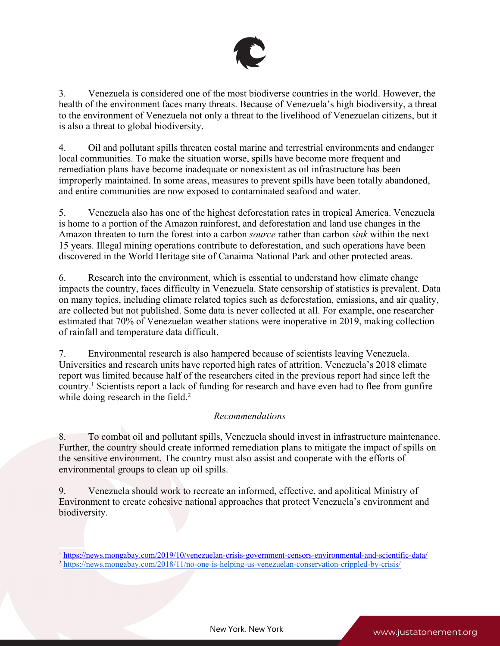

3. Venezuela is considered one of the most biodiverse countries in the world. However, the health of the environment faces many threats. Because of Venezuela'<sup>s</sup> high biodiversity, <sup>a</sup> threat to the environment of Venezuela not only <sup>a</sup> threat to the livelihood of Venezuelan citizens, but it is also <sup>a</sup> threat to global biodiversity.

4. Oil and pollutant spills threaten costal marine and terrestrial environments and endanger local communities. To make the situation worse, spills have become more frequent and remediation plans have become inadequate or nonexistent as oil infrastructure has been improperly maintained. In some areas, measures to preven<sup>t</sup> spills have been totally abandoned, and entire communities are now exposed to contaminated seafood and water.

5. Venezuela also has one of the highest deforestation rates in tropical America. Venezuela is home to <sup>a</sup> portion of the Amazon rainforest, and deforestation and land use changes in the Amazon threaten to turn the forest into <sup>a</sup> carbon *source* rather than carbon *sink* within the next 15 years. Illegal mining operations contribute to deforestation, and such operations have been discovered in the World Heritage site of Canaima National Park and other protected areas.

6. Research into the environment, which is essential to understand how climate change impacts the country, faces difficulty in Venezuela. State censorship of statistics is prevalent. Data on many topics, including climate related topics such as deforestation, emissions, and air quality, are collected but not published. Some data is never collected at all. For example, one researcher estimated that 70% of Venezuelan weather stations were inoperative in 2019, making collection of rainfall and temperature data difficult.

7. Environmental research is also hampered because of scientists leaving Venezuela. Universities and research units have reported high rates of attrition. Venezuela'<sup>s</sup> 2018 climate repor<sup>t</sup> was limited because half of the researchers cited in the previous repor<sup>t</sup> had since left the country. 1 Scientists repor<sup>t</sup> <sup>a</sup> lack of funding for research and have even had to flee from gunfire while doing research in the field.<sup>2</sup>

# *Recommendations*

8. To combat oil and pollutant spills, Venezuela should invest in infrastructure maintenance. Further, the country should create informed remediation plans to mitigate the impact of spills on the sensitive environment. The country must also assist and cooperate with the efforts of environmental groups to clean up oil spills.

9. Venezuela should work to recreate an informed, effective, and apolitical Ministry of Environment to create cohesive national approaches that protect Venezuela'<sup>s</sup> environment and biodiversity.

<sup>2</sup> <https://news.mongabay.com/2018/11/no-one-is-helping-us-venezuelan-conservation-crippled-by-crisis/>

<sup>1</sup> <https://news.mongabay.com/2019/10/venezuelan-crisis-government-censors-environmental-and-scientific-data/>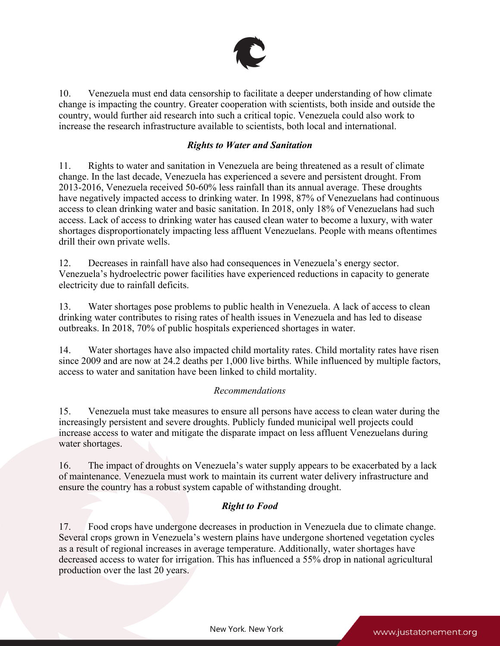

10. Venezuela must end data censorship to facilitate <sup>a</sup> deeper understanding of how climate change is impacting the country. Greater cooperation with scientists, both inside and outside the country, would further aid research into such <sup>a</sup> critical topic. Venezuela could also work to increase the research infrastructure available to scientists, both local and international.

## *Rights to Water and Sanitation*

11. Rights to water and sanitation in Venezuela are being threatened as <sup>a</sup> result of climate change. In the last decade, Venezuela has experienced <sup>a</sup> severe and persistent drought. From 2013-2016, Venezuela received 50-60% less rainfall than its annual average. These droughts have negatively impacted access to drinking water. In 1998, 87% of Venezuelans had continuous access to clean drinking water and basic sanitation. In 2018, only 18% of Venezuelans had such access. Lack of access to drinking water has caused clean water to become <sup>a</sup> luxury, with water shortages disproportionately impacting less affluent Venezuelans. People with means oftentimes drill their own private wells.

12. Decreases in rainfall have also had consequences in Venezuela'<sup>s</sup> energy sector. Venezuela'<sup>s</sup> hydroelectric power facilities have experienced reductions in capacity to generate electricity due to rainfall deficits.

13. Water shortages pose problems to public health in Venezuela. Alack of access to clean drinking water contributes to rising rates of health issues in Venezuela and has led to disease outbreaks. In 2018, 70% of public hospitals experienced shortages in water.

14. Water shortages have also impacted child mortality rates. Child mortality rates have risen since 2009 and are now at 24.2 deaths per 1,000 live births. While influenced by multiple factors, access to water and sanitation have been linked to child mortality.

## *Recommendations*

15. Venezuela must take measures to ensure all persons have access to clean water during the increasingly persistent and severe droughts. Publicly funded municipal well projects could increase access to water and mitigate the disparate impact on less affluent Venezuelans during water shortages.

16. The impact of droughts on Venezuela'<sup>s</sup> water supply appears to be exacerbated by <sup>a</sup> lack of maintenance. Venezuela must work to maintain its current water delivery infrastructure and ensure the country has <sup>a</sup> robust system capable of withstanding drought.

# *Right to Food*

17. Food crops have undergone decreases in production in Venezuela due to climate change. Several crops grown in Venezuela'<sup>s</sup> western plains have undergone shortened vegetation cycles as <sup>a</sup> result of regional increases in average temperature. Additionally, water shortages have decreased access to water for irrigation. This has influenced <sup>a</sup> 55% drop in national agricultural production over the last 20 years.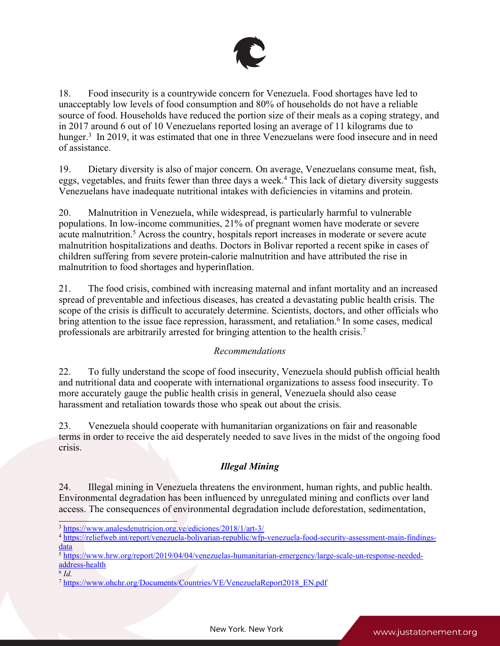

18. Food insecurity is <sup>a</sup> countrywide concern for Venezuela. Food shortages have led to unacceptably low levels of food consumption and 80% of households do not have <sup>a</sup> reliable source of food. Households have reduced the portion size of their meals as <sup>a</sup> coping strategy, and in 2017 around 6 out of 10 Venezuelans reported losing an average of 11 kilograms due to hunger.<sup>3</sup> In 2019, it was estimated that one in three Venezuelans were food insecure and in need of assistance.

19. Dietary diversity is also of major concern. On average, Venezuelans consume meat, fish, eggs, vegetables, and fruits fewer than three days <sup>a</sup> week. 4 This lack of dietary diversity suggests Venezuelans have inadequate nutritional intakes with deficiencies in vitamins and protein.

20. Malnutrition in Venezuela, while widespread, is particularly harmful to vulnerable populations. In low-income communities, 21% of pregnan<sup>t</sup> women have moderate or severe acute malnutrition. <sup>5</sup> Across the country, hospitals repor<sup>t</sup> increases in moderate or severe acute malnutrition hospitalizations and deaths. Doctors in Bolivar reported <sup>a</sup> recent spike in cases of children suffering from severe protein-calorie malnutrition and have attributed the rise in malnutrition to food shortages and hyperinflation.

21. The food crisis, combined with increasing maternal and infant mortality and an increased spread of preventable and infectious diseases, has created <sup>a</sup> devastating public health crisis. The scope of the crisis is difficult to accurately determine. Scientists, doctors, and other officials who bring attention to the issue face repression, harassment, and retaliation. 6 In some cases, medical professionals are arbitrarily arrested for bringing attention to the health crisis. 7

# *Recommendations*

22. To fully understand the scope of food insecurity, Venezuela should publish official health and nutritional data and cooperate with international organizations to assess food insecurity. To more accurately gauge the public health crisis in general, Venezuela should also cease harassment and retaliation towards those who speak out about the crisis.

23. Venezuela should cooperate with humanitarian organizations on fair and reasonable terms in order to receive the aid desperately needed to save lives in the midst of the ongoing food crisis.

# *Illegal Mining*

24. Illegal mining in Venezuela threatens the environment, human rights, and public health. Environmental degradation has been influenced by unregulated mining and conflicts over land access. The consequences of environmental degradation include deforestation, sedimentation,

6 *Id.*

<sup>3</sup> <https://www.analesdenutricion.org.ve/ediciones/2018/1/art-3/>

<sup>4</sup> [https://reliefweb.int/report/venezuela-bolivarian-republic/wfp-venezuela-food-security-assessment-main-findings](https://reliefweb.int/report/venezuela-bolivarian-republic/wfp-venezuela-food-security-assessment-main-findings-data)[data](https://reliefweb.int/report/venezuela-bolivarian-republic/wfp-venezuela-food-security-assessment-main-findings-data)

<sup>5</sup> [https://www.hrw.org/report/2019/04/04/venezuelas-humanitarian-emergency/large-scale-un-response-needed](https://www.hrw.org/report/2019/04/04/venezuelas-humanitarian-emergency/large-scale-un-response-needed-address-health)[address-health](https://www.hrw.org/report/2019/04/04/venezuelas-humanitarian-emergency/large-scale-un-response-needed-address-health)

<sup>&</sup>lt;sup>7</sup> https://www.ohchr.org/Documents/Countries/VE/VenezuelaReport2018 EN.pdf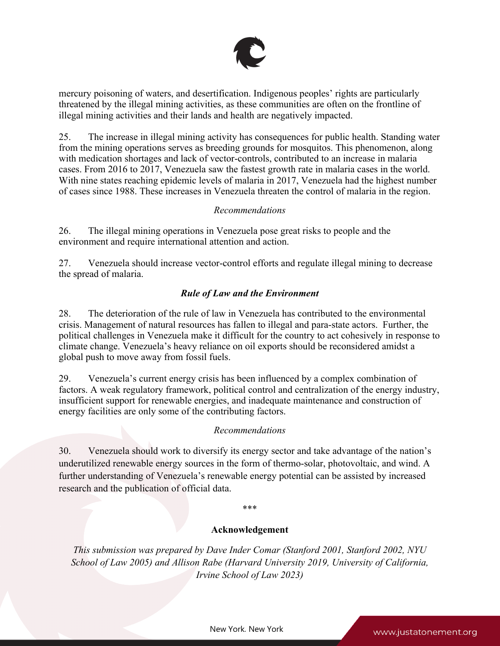

mercury poisoning of waters, and desertification. Indigenous peoples' rights are particularly threatened by the illegal mining activities, as these communities are often on the frontline of illegal mining activities and their lands and health are negatively impacted.

25. The increase in illegal mining activity has consequences for public health. Standing water from the mining operations serves as breeding grounds for mosquitos. This phenomenon, along with medication shortages and lack of vector-controls, contributed to an increase in malaria cases. From 2016 to 2017, Venezuela saw the fastest growth rate in malaria cases in the world. With nine states reaching epidemic levels of malaria in 2017, Venezuela had the highest number of cases since 1988. These increases in Venezuela threaten the control of malaria in the region.

## *Recommendations*

26. The illegal mining operations in Venezuela pose grea<sup>t</sup> risks to people and the environment and require international attention and action.

27. Venezuela should increase vector-control efforts and regulate illegal mining to decrease the spread of malaria.

# *Rule of Law and the Environment*

28. The deterioration of the rule of law in Venezuela has contributed to the environmental crisis. Management of natural resources has fallen to illegal and para-state actors. Further, the political challenges in Venezuela make it difficult for the country to act cohesively in response to climate change. Venezuela'<sup>s</sup> heavy reliance on oil exports should be reconsidered amidst <sup>a</sup> global push to move away from fossil fuels.

29. Venezuela'<sup>s</sup> current energy crisis has been influenced by <sup>a</sup> complex combination of factors. A weak regulatory framework, political control and centralization of the energy industry, insufficient suppor<sup>t</sup> for renewable energies, and inadequate maintenance and construction of energy facilities are only some of the contributing factors.

## *Recommendations*

30. Venezuela should work to diversify its energy sector and take advantage of the nation'<sup>s</sup> underutilized renewable energy sources in the form of thermo-solar, photovoltaic, and wind. A further understanding of Venezuela'<sup>s</sup> renewable energy potential can be assisted by increased research and the publication of official data.

# \*\*\*

## **Acknowledgement**

*This submission was prepared by Dave Inder Comar (Stanford 2001, Stanford 2002, NYU School of Law 2005) and Allison Rabe (Harvard University 2019, University of California, Irvine School of Law 2023)*

New York, New York